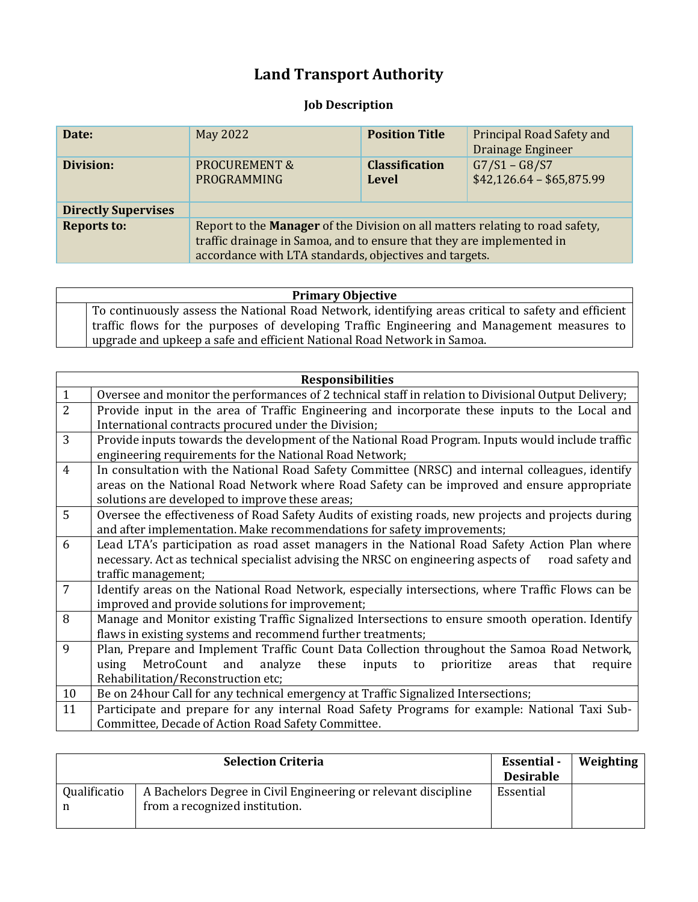## **Land Transport Authority**

## **Job Description**

| Date:                      | May 2022                                                                                                                                                                                                         | <b>Position Title</b>                 | Principal Road Safety and<br>Drainage Engineer |
|----------------------------|------------------------------------------------------------------------------------------------------------------------------------------------------------------------------------------------------------------|---------------------------------------|------------------------------------------------|
| Division:                  | <b>PROCUREMENT &amp;</b><br>PROGRAMMING                                                                                                                                                                          | <b>Classification</b><br><b>Level</b> | $G7/S1 - G8/S7$<br>$$42,126.64 - $65,875.99$   |
| <b>Directly Supervises</b> |                                                                                                                                                                                                                  |                                       |                                                |
| <b>Reports to:</b>         | Report to the Manager of the Division on all matters relating to road safety,<br>traffic drainage in Samoa, and to ensure that they are implemented in<br>accordance with LTA standards, objectives and targets. |                                       |                                                |

| <b>Primary Objective</b>                                                                             |
|------------------------------------------------------------------------------------------------------|
| To continuously assess the National Road Network, identifying areas critical to safety and efficient |
| traffic flows for the purposes of developing Traffic Engineering and Management measures to          |
| upgrade and upkeep a safe and efficient National Road Network in Samoa.                              |

|                | <b>Responsibilities</b>                                                                                  |
|----------------|----------------------------------------------------------------------------------------------------------|
| $\mathbf{1}$   | Oversee and monitor the performances of 2 technical staff in relation to Divisional Output Delivery;     |
| $\overline{2}$ | Provide input in the area of Traffic Engineering and incorporate these inputs to the Local and           |
|                | International contracts procured under the Division;                                                     |
| $\overline{3}$ | Provide inputs towards the development of the National Road Program. Inputs would include traffic        |
|                | engineering requirements for the National Road Network;                                                  |
| $\overline{4}$ | In consultation with the National Road Safety Committee (NRSC) and internal colleagues, identify         |
|                | areas on the National Road Network where Road Safety can be improved and ensure appropriate              |
|                | solutions are developed to improve these areas;                                                          |
| 5              | Oversee the effectiveness of Road Safety Audits of existing roads, new projects and projects during      |
|                | and after implementation. Make recommendations for safety improvements;                                  |
| 6              | Lead LTA's participation as road asset managers in the National Road Safety Action Plan where            |
|                | necessary. Act as technical specialist advising the NRSC on engineering aspects of road safety and       |
|                | traffic management;                                                                                      |
| $\overline{7}$ | Identify areas on the National Road Network, especially intersections, where Traffic Flows can be        |
|                | improved and provide solutions for improvement;                                                          |
| 8              | Manage and Monitor existing Traffic Signalized Intersections to ensure smooth operation. Identify        |
|                | flaws in existing systems and recommend further treatments;                                              |
| 9              | Plan, Prepare and Implement Traffic Count Data Collection throughout the Samoa Road Network,             |
|                | analyze<br>prioritize<br>MetroCount<br>and<br>these<br>inputs<br>using<br>that<br>to<br>areas<br>require |
|                | Rehabilitation/Reconstruction etc;                                                                       |
| 10             | Be on 24 hour Call for any technical emergency at Traffic Signalized Intersections;                      |
| 11             | Participate and prepare for any internal Road Safety Programs for example: National Taxi Sub-            |
|                | Committee, Decade of Action Road Safety Committee.                                                       |

|                   | <b>Selection Criteria</b>                                                                        | <b>Essential</b> -<br><b>Desirable</b> | Weighting |
|-------------------|--------------------------------------------------------------------------------------------------|----------------------------------------|-----------|
| Qualificatio<br>n | A Bachelors Degree in Civil Engineering or relevant discipline<br>from a recognized institution. | Essential                              |           |